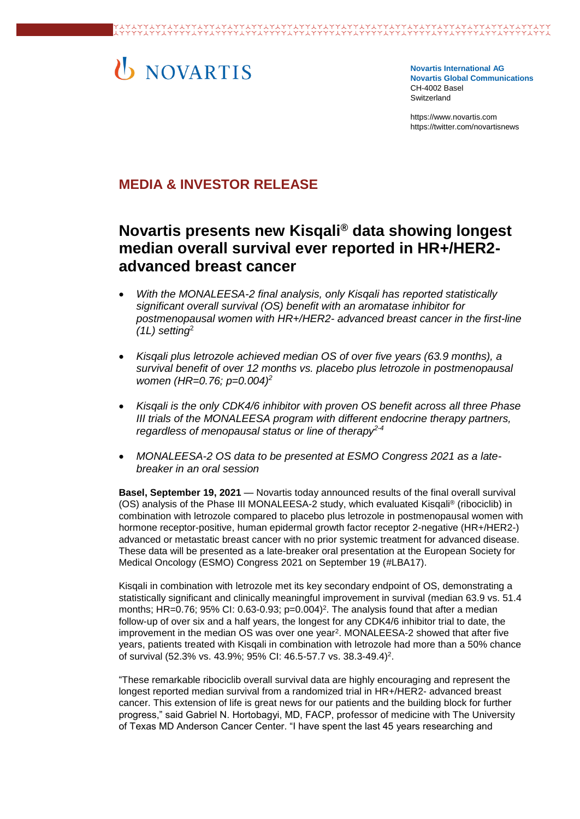# U NOVARTIS

**Novartis International AG Novartis Global Communications**  CH-4002 Basel Switzerland

[https://www.novartis.com](https://www.novartis.com/) https://twitter.com/novartisnews

## **MEDIA & INVESTOR RELEASE**

## **Novartis presents new Kisqali® data showing longest median overall survival ever reported in HR+/HER2 advanced breast cancer**

- *With the MONALEESA-2 final analysis, only Kisqali has reported statistically significant overall survival (OS) benefit with an aromatase inhibitor for postmenopausal women with HR+/HER2- advanced breast cancer in the first-line (1L) setting*<sup>2</sup>
- *Kisqali plus letrozole achieved median OS of over five years (63.9 months), a survival benefit of over 12 months vs. placebo plus letrozole in postmenopausal women (HR=0.76; p=0.004)<sup>2</sup>*
- *Kisqali is the only CDK4/6 inhibitor with proven OS benefit across all three Phase III trials of the MONALEESA program with different endocrine therapy partners, regardless of menopausal status or line of therapy2-4*
- *MONALEESA-2 OS data to be presented at ESMO Congress 2021 as a latebreaker in an oral session*

**Basel, September 19, 2021** — Novartis today announced results of the final overall survival (OS) analysis of the Phase III MONALEESA-2 study, which evaluated Kisqali® (ribociclib) in combination with letrozole compared to placebo plus letrozole in postmenopausal women with hormone receptor-positive, human epidermal growth factor receptor 2-negative (HR+/HER2-) advanced or metastatic breast cancer with no prior systemic treatment for advanced disease. These data will be presented as a late-breaker oral presentation at the European Society for Medical Oncology (ESMO) Congress 2021 on September 19 (#LBA17).

Kisqali in combination with letrozole met its key secondary endpoint of OS, demonstrating a statistically significant and clinically meaningful improvement in survival (median 63.9 vs. 51.4 months; HR=0.76; 95% CI: 0.63-0.93;  $p=0.004$ <sup>2</sup>. The analysis found that after a median follow-up of over six and a half years, the longest for any CDK4/6 inhibitor trial to date, the improvement in the median OS was over one year<sup>2</sup> . MONALEESA-2 showed that after five years, patients treated with Kisqali in combination with letrozole had more than a 50% chance of survival (52.3% vs. 43.9%; 95% CI: 46.5-57.7 vs. 38.3-49.4)<sup>2</sup>.

"These remarkable ribociclib overall survival data are highly encouraging and represent the longest reported median survival from a randomized trial in HR+/HER2- advanced breast cancer. This extension of life is great news for our patients and the building block for further progress," said Gabriel N. Hortobagyi, MD, FACP, professor of medicine with The University of Texas MD Anderson Cancer Center. "I have spent the last 45 years researching and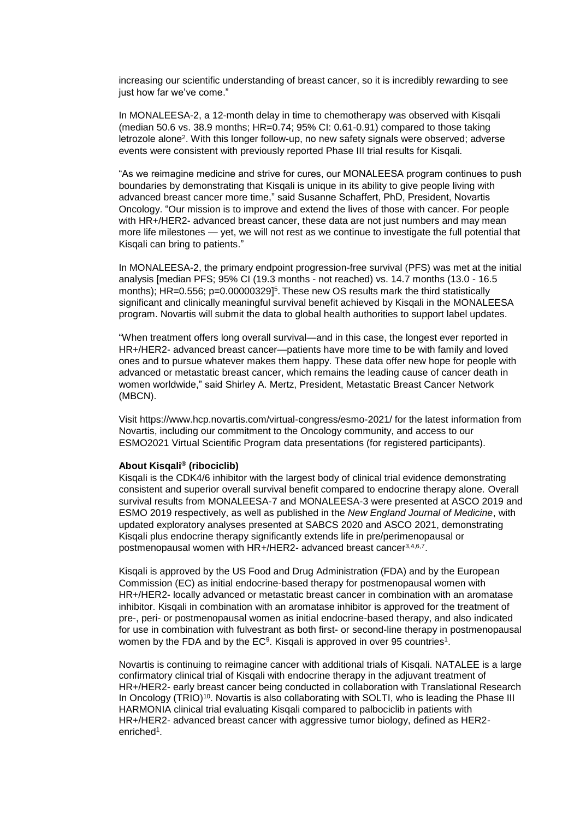increasing our scientific understanding of breast cancer, so it is incredibly rewarding to see just how far we've come."

In MONALEESA-2, a 12-month delay in time to chemotherapy was observed with Kisqali (median 50.6 vs. 38.9 months; HR=0.74; 95% CI: 0.61-0.91) compared to those taking letrozole alone<sup>2</sup>. With this longer follow-up, no new safety signals were observed; adverse events were consistent with previously reported Phase III trial results for Kisqali.

"As we reimagine medicine and strive for cures, our MONALEESA program continues to push boundaries by demonstrating that Kisqali is unique in its ability to give people living with advanced breast cancer more time," said Susanne Schaffert, PhD, President, Novartis Oncology. "Our mission is to improve and extend the lives of those with cancer. For people with HR+/HER2- advanced breast cancer, these data are not just numbers and may mean more life milestones — yet, we will not rest as we continue to investigate the full potential that Kisqali can bring to patients."

In MONALEESA-2, the primary endpoint progression-free survival (PFS) was met at the initial analysis [median PFS; 95% CI (19.3 months - not reached) vs. 14.7 months (13.0 - 16.5 months); HR=0.556; p=0.00000329]<sup>5</sup>. These new OS results mark the third statistically significant and clinically meaningful survival benefit achieved by Kisqali in the MONALEESA program. Novartis will submit the data to global health authorities to support label updates.

"When treatment offers long overall survival—and in this case, the longest ever reported in HR+/HER2- advanced breast cancer—patients have more time to be with family and loved ones and to pursue whatever makes them happy. These data offer new hope for people with advanced or metastatic breast cancer, which remains the leading cause of cancer death in women worldwide," said Shirley A. Mertz, President, Metastatic Breast Cancer Network (MBCN).

Visit<https://www.hcp.novartis.com/virtual-congress/esmo-2021/> for the latest information from Novartis, including our commitment to the Oncology community, and access to our ESMO2021 Virtual Scientific Program data presentations (for registered participants).

#### **About Kisqali® (ribociclib)**

Kisqali is the CDK4/6 inhibitor with the largest body of clinical trial evidence demonstrating consistent and superior overall survival benefit compared to endocrine therapy alone. Overall survival results from MONALEESA-7 and MONALEESA-3 were presented at ASCO 2019 and ESMO 2019 respectively, as well as published in the *New England Journal of Medicine*, with updated exploratory analyses presented at SABCS 2020 and ASCO 2021, demonstrating Kisqali plus endocrine therapy significantly extends life in pre/perimenopausal or postmenopausal women with HR+/HER2- advanced breast cancer<sup>3,4,6,7</sup>.

Kisqali is approved by the US Food and Drug Administration (FDA) and by the European Commission (EC) as initial endocrine-based therapy for postmenopausal women with HR+/HER2- locally advanced or metastatic breast cancer in combination with an aromatase inhibitor. Kisqali in combination with an aromatase inhibitor is approved for the treatment of pre-, peri- or postmenopausal women as initial endocrine-based therapy, and also indicated for use in combination with fulvestrant as both first- or second-line therapy in postmenopausal women by the FDA and by the EC<sup>9</sup>. Kisqali is approved in over 95 countries<sup>1</sup>.

Novartis is continuing to reimagine cancer with additional trials of Kisqali. NATALEE is a large confirmatory clinical trial of Kisqali with endocrine therapy in the adjuvant treatment of HR+/HER2- early breast cancer being conducted in collaboration with Translational Research In Oncology (TRIO)<sup>10</sup>. Novartis is also collaborating with SOLTI, who is leading the Phase III HARMONIA clinical trial evaluating Kisqali compared to palbociclib in patients with HR+/HER2- advanced breast cancer with aggressive tumor biology, defined as HER2 enriched<sup>1</sup> .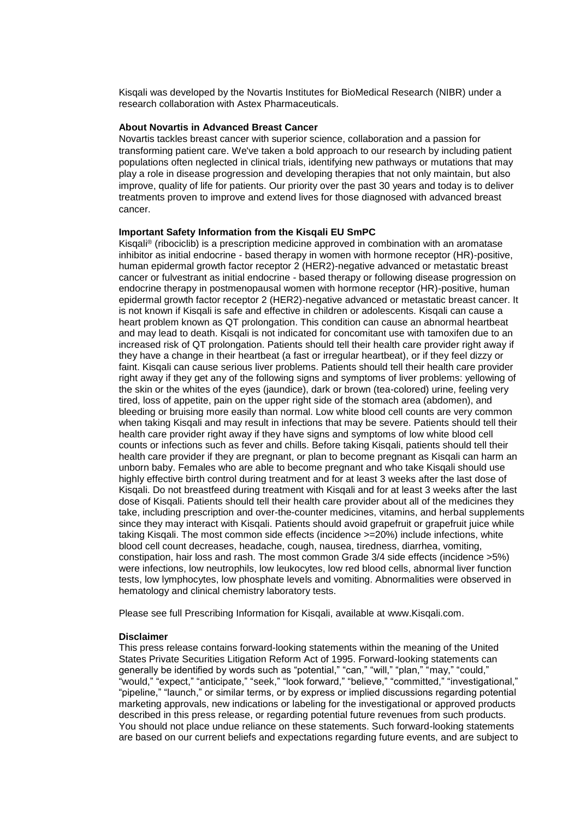Kisqali was developed by the Novartis Institutes for BioMedical Research (NIBR) under a research collaboration with Astex Pharmaceuticals.

#### **About Novartis in Advanced Breast Cancer**

Novartis tackles breast cancer with superior science, collaboration and a passion for transforming patient care. We've taken a bold approach to our research by including patient populations often neglected in clinical trials, identifying new pathways or mutations that may play a role in disease progression and developing therapies that not only maintain, but also improve, quality of life for patients. Our priority over the past 30 years and today is to deliver treatments proven to improve and extend lives for those diagnosed with advanced breast cancer.

#### **Important Safety Information from the Kisqali EU SmPC**

Kisqali® (ribociclib) is a prescription medicine approved in combination with an aromatase inhibitor as initial endocrine - based therapy in women with hormone receptor (HR)-positive, human epidermal growth factor receptor 2 (HER2)-negative advanced or metastatic breast cancer or fulvestrant as initial endocrine - based therapy or following disease progression on endocrine therapy in postmenopausal women with hormone receptor (HR)-positive, human epidermal growth factor receptor 2 (HER2)-negative advanced or metastatic breast cancer. It is not known if Kisqali is safe and effective in children or adolescents. Kisqali can cause a heart problem known as QT prolongation. This condition can cause an abnormal heartbeat and may lead to death. Kisqali is not indicated for concomitant use with tamoxifen due to an increased risk of QT prolongation. Patients should tell their health care provider right away if they have a change in their heartbeat (a fast or irregular heartbeat), or if they feel dizzy or faint. Kisqali can cause serious liver problems. Patients should tell their health care provider right away if they get any of the following signs and symptoms of liver problems: yellowing of the skin or the whites of the eyes (jaundice), dark or brown (tea-colored) urine, feeling very tired, loss of appetite, pain on the upper right side of the stomach area (abdomen), and bleeding or bruising more easily than normal. Low white blood cell counts are very common when taking Kisqali and may result in infections that may be severe. Patients should tell their health care provider right away if they have signs and symptoms of low white blood cell counts or infections such as fever and chills. Before taking Kisqali, patients should tell their health care provider if they are pregnant, or plan to become pregnant as Kisqali can harm an unborn baby. Females who are able to become pregnant and who take Kisqali should use highly effective birth control during treatment and for at least 3 weeks after the last dose of Kisqali. Do not breastfeed during treatment with Kisqali and for at least 3 weeks after the last dose of Kisqali. Patients should tell their health care provider about all of the medicines they take, including prescription and over-the-counter medicines, vitamins, and herbal supplements since they may interact with Kisgali. Patients should avoid grapefruit or grapefruit juice while taking Kisqali. The most common side effects (incidence >=20%) include infections, white blood cell count decreases, headache, cough, nausea, tiredness, diarrhea, vomiting, constipation, hair loss and rash. The most common Grade 3/4 side effects (incidence >5%) were infections, low neutrophils, low leukocytes, low red blood cells, abnormal liver function tests, low lymphocytes, low phosphate levels and vomiting. Abnormalities were observed in hematology and clinical chemistry laboratory tests.

Please see full Prescribing Information for Kisqali, available at [www.Kisqali.com.](http://www.kisqali.com/)

#### **Disclaimer**

This press release contains forward-looking statements within the meaning of the United States Private Securities Litigation Reform Act of 1995. Forward-looking statements can generally be identified by words such as "potential," "can," "will," "plan," "may," "could," "would," "expect," "anticipate," "seek," "look forward," "believe," "committed," "investigational," "pipeline," "launch," or similar terms, or by express or implied discussions regarding potential marketing approvals, new indications or labeling for the investigational or approved products described in this press release, or regarding potential future revenues from such products. You should not place undue reliance on these statements. Such forward-looking statements are based on our current beliefs and expectations regarding future events, and are subject to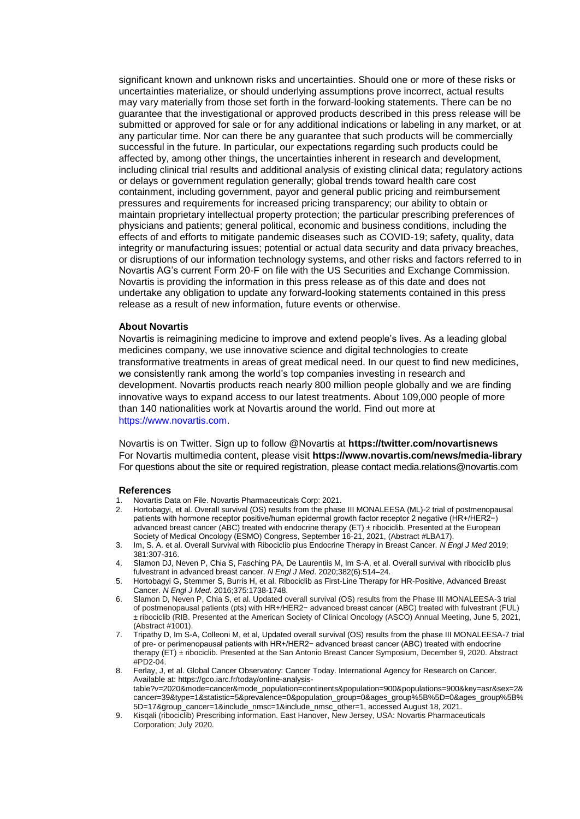significant known and unknown risks and uncertainties. Should one or more of these risks or uncertainties materialize, or should underlying assumptions prove incorrect, actual results may vary materially from those set forth in the forward-looking statements. There can be no guarantee that the investigational or approved products described in this press release will be submitted or approved for sale or for any additional indications or labeling in any market, or at any particular time. Nor can there be any guarantee that such products will be commercially successful in the future. In particular, our expectations regarding such products could be affected by, among other things, the uncertainties inherent in research and development, including clinical trial results and additional analysis of existing clinical data; regulatory actions or delays or government regulation generally; global trends toward health care cost containment, including government, payor and general public pricing and reimbursement pressures and requirements for increased pricing transparency; our ability to obtain or maintain proprietary intellectual property protection; the particular prescribing preferences of physicians and patients; general political, economic and business conditions, including the effects of and efforts to mitigate pandemic diseases such as COVID-19; safety, quality, data integrity or manufacturing issues; potential or actual data security and data privacy breaches, or disruptions of our information technology systems, and other risks and factors referred to in Novartis AG's current Form 20-F on file with the US Securities and Exchange Commission. Novartis is providing the information in this press release as of this date and does not undertake any obligation to update any forward-looking statements contained in this press release as a result of new information, future events or otherwise.

#### **About Novartis**

Novartis is reimagining medicine to improve and extend people's lives. As a leading global medicines company, we use innovative science and digital technologies to create transformative treatments in areas of great medical need. In our quest to find new medicines, we consistently rank among the world's top companies investing in research and development. Novartis products reach nearly 800 million people globally and we are finding innovative ways to expand access to our latest treatments. About 109,000 people of more than 140 nationalities work at Novartis around the world. Find out more at https://www.novartis.com.

Novartis is on Twitter. Sign up to follow @Novartis at **<https://twitter.com/novartisnews>** For Novartis multimedia content, please visit **https:/[/www.novartis.com/news/media-library](http://www.novartis.com/news/media-library)** For questions about the site or required registration, please contact [media.relations@novartis.com](mailto:media.relations@novartis.com)

## **References**<br>1. Novartis Da

- 1. Novartis Data on File. Novartis Pharmaceuticals Corp: 2021.
- 2. Hortobagyi, et al. Overall survival (OS) results from the phase III MONALEESA (ML)-2 trial of postmenopausal patients with hormone receptor positive/human epidermal growth factor receptor 2 negative (HR+/HER2−) advanced breast cancer (ABC) treated with endocrine therapy (ET) ± ribociclib. Presented at the European Society of Medical Oncology (ESMO) Congress, September 16-21, 2021, (Abstract #LBA17).
- 3. Im, S. A. et al. Overall Survival with Ribociclib plus Endocrine Therapy in Breast Cancer. *N Engl J Med* 2019; 381:307-316.
- 4. Slamon DJ, Neven P, Chia S, Fasching PA, De Laurentiis M, Im S-A, et al. Overall survival with ribociclib plus fulvestrant in advanced breast cancer. *N Engl J Med*. 2020;382(6):514–24.
- 5. Hortobagyi G, Stemmer S, Burris H, et al. Ribociclib as First-Line Therapy for HR-Positive, Advanced Breast Cancer. *N Engl J Med.* 2016;375:1738-1748.
- 6. Slamon D, Neven P, Chia S, et al. Updated overall survival (OS) results from the Phase III MONALEESA-3 trial of postmenopausal patients (pts) with HR+/HER2− advanced breast cancer (ABC) treated with fulvestrant (FUL) ± ribociclib (RIB. Presented at the American Society of Clinical Oncology (ASCO) Annual Meeting, June 5, 2021, (Abstract  $\#$ 1001).
- 7. Tripathy D, Im S-A, Colleoni M, et al, Updated overall survival (OS) results from the phase III MONALEESA-7 trial of pre- or perimenopausal patients with HR+/HER2− advanced breast cancer (ABC) treated with endocrine therapy (ET) ± ribociclib. Presented at the San Antonio Breast Cancer Symposium, December 9, 2020. Abstract #PD2-04.
- 8. Ferlay, J, et al. Global Cancer Observatory: Cancer Today. International Agency for Research on Cancer. Available at: https://gco.iarc.fr/today/online-analysistable?v=2020&mode=cancer&mode\_population=continents&population=900&populations=900&key=asr&sex=2& cancer=39&type=1&statistic=5&prevalence=0&population\_group=0&ages\_group%5B%5D=0&ages\_group%5B% 5D=17&group\_cancer=1&include\_nmsc=1&include\_nmsc\_other=1, accessed August 18, 2021.
- 9. Kisqali (ribociclib) Prescribing information. East Hanover, New Jersey, USA: Novartis Pharmaceuticals Corporation; July 2020.